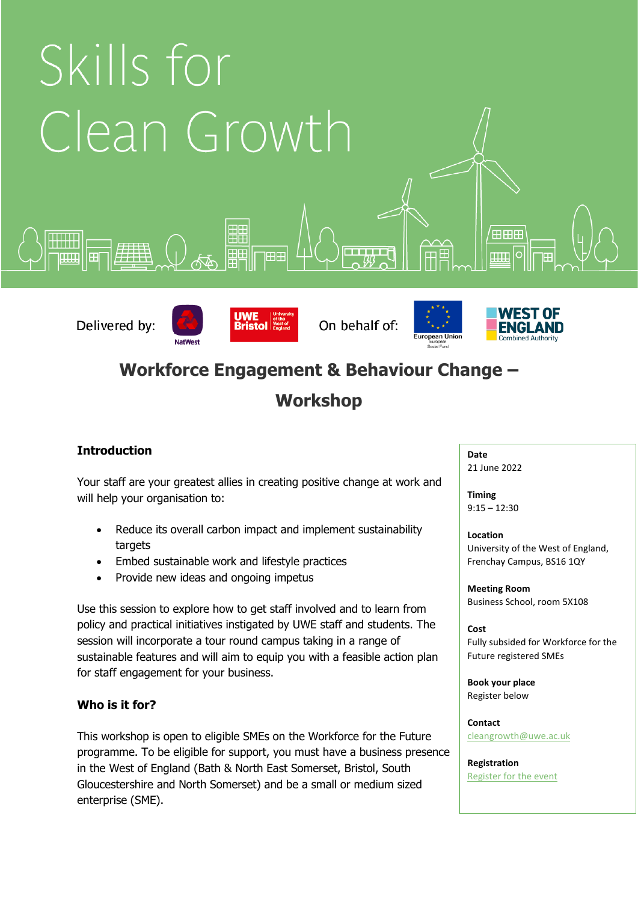

## **Workforce Engagement & Behaviour Change –**

# **Workshop**

## **Introduction**

Your staff are your greatest allies in creating positive change at work and will help your organisation to:

- Reduce its overall carbon impact and implement sustainability targets
- Embed sustainable work and lifestyle practices
- Provide new ideas and ongoing impetus

**NatWest** 

Use this session to explore how to get staff involved and to learn from policy and practical initiatives instigated by UWE staff and students. The session will incorporate a tour round campus taking in a range of sustainable features and will aim to equip you with a feasible action plan for staff engagement for your business.

## **Who is it for?**

This workshop is open to eligible SMEs on the Workforce for the Future programme. To be eligible for support, you must have a business presence in the West of England (Bath & North East Somerset, Bristol, South Gloucestershire and North Somerset) and be a small or medium sized enterprise (SME).

**Date** 21 June 2022

**Timing** 9:15 – 12:30

**Location** University of the West of England, Frenchay Campus, BS16 1QY

**Meeting Room** Business School, room 5X108

**Cost** Fully subsided for Workforce for the Future registered SMEs

**Book your place** Register below

**Contact** [cleangrowth@uwe.ac.uk](mailto:cleangrowth@uwe.ac.uk)

**Registration** [Register for the event](https://forms.office.com/Pages/ResponsePage.aspx?id=CBLvBzxBXkuc3WTvMFdU8HpY9oTjZ6dCiv4oFBWAOjJURFhaWVZBUUU4SFRFM1lBVEVLM0hGOTNWQyQlQCN0PWcu)